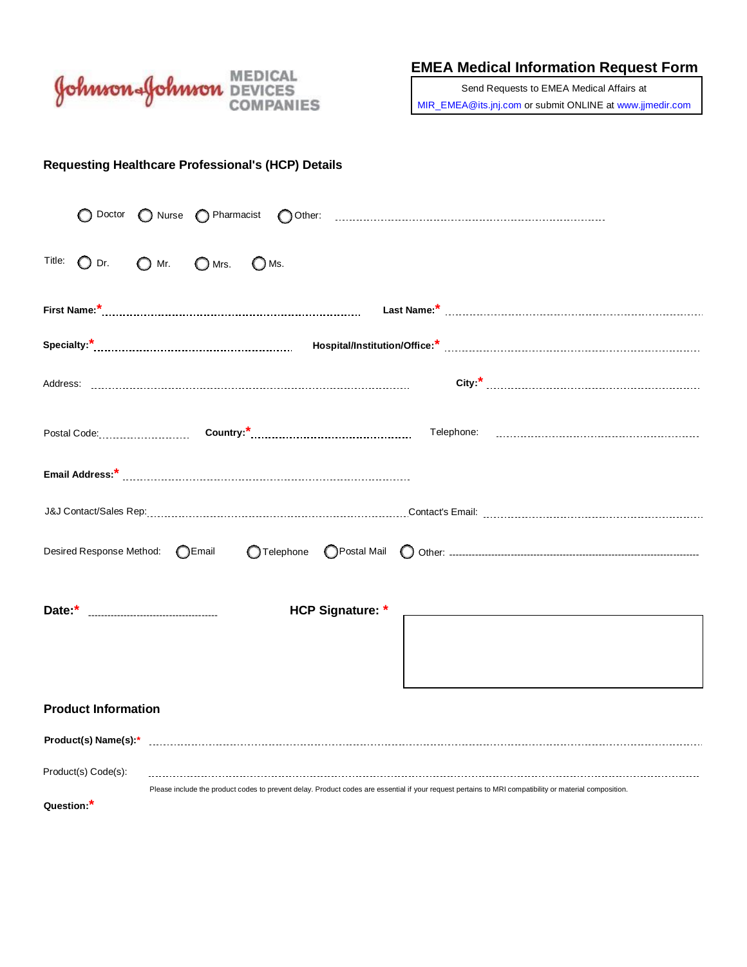

**EMEA Medical Information Request Form**

Send Requests to EMEA Medical Affairs at [MIR\\_EMEA@its.jnj.com o](mailto:MIR_EMEA@its.jnj.com)r submit ONLINE at [www.jjmedir.com](http://www.jjmedir.com/)

|  |  | Requesting Healthcare Professional's (HCP) Details |  |  |
|--|--|----------------------------------------------------|--|--|
|--|--|----------------------------------------------------|--|--|

| O Doctor                                   |                                                                                                                                                       |  |  |  |
|--------------------------------------------|-------------------------------------------------------------------------------------------------------------------------------------------------------|--|--|--|
| Title:<br>$\bigcirc$ Dr.<br>$\bigcirc$ Mr. | $\bigcirc$ Mrs.<br>$\bigcirc$ Ms.                                                                                                                     |  |  |  |
|                                            |                                                                                                                                                       |  |  |  |
|                                            |                                                                                                                                                       |  |  |  |
|                                            |                                                                                                                                                       |  |  |  |
|                                            |                                                                                                                                                       |  |  |  |
|                                            |                                                                                                                                                       |  |  |  |
|                                            |                                                                                                                                                       |  |  |  |
| Desired Response Method: CEmail            |                                                                                                                                                       |  |  |  |
|                                            | <b>HCP Signature: *</b>                                                                                                                               |  |  |  |
|                                            |                                                                                                                                                       |  |  |  |
|                                            |                                                                                                                                                       |  |  |  |
| <b>Product Information</b>                 |                                                                                                                                                       |  |  |  |
|                                            | Product(s) Name(s):* www.communicallyneralism.com/news/2010/06/2010 news/2010 news/2010                                                               |  |  |  |
| Product(s) Code(s):                        |                                                                                                                                                       |  |  |  |
| Question:*                                 | Please include the product codes to prevent delay. Product codes are essential if your request pertains to MRI compatibility or material composition. |  |  |  |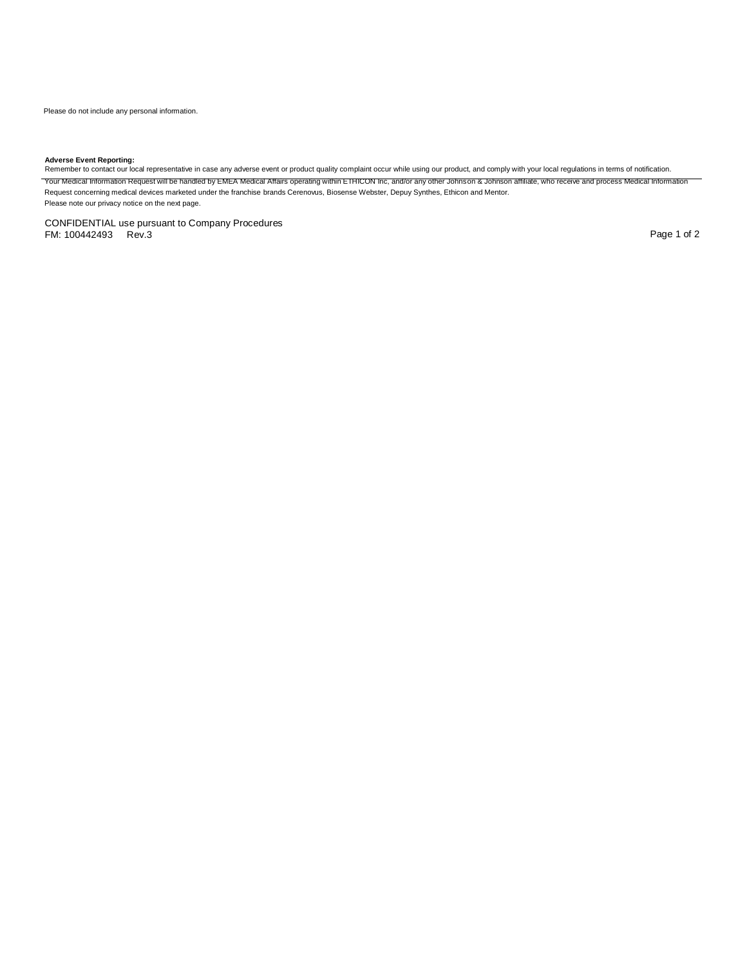**Adverse Event Reporting:**<br>Remember to contact our local representative in case any adverse event or product quality complaint occur while using our product, and comply with your local regulations in terms of notification. Your Medical Information Request will be handled by EMEA Medical Affairs operating within ETHICON Inc, and/or any other Johnson & Johnson affiliate, who receive and process Medical Information Request concerning medical devices marketed under the franchise brands Cerenovus, Biosense Webster, Depuy Synthes, Ethicon and Mentor. Please note our privacy notice on the next page.

CONFIDENTIAL use pursuant to Company Procedures FM: 100442493 Rev.3 Page 1 of 2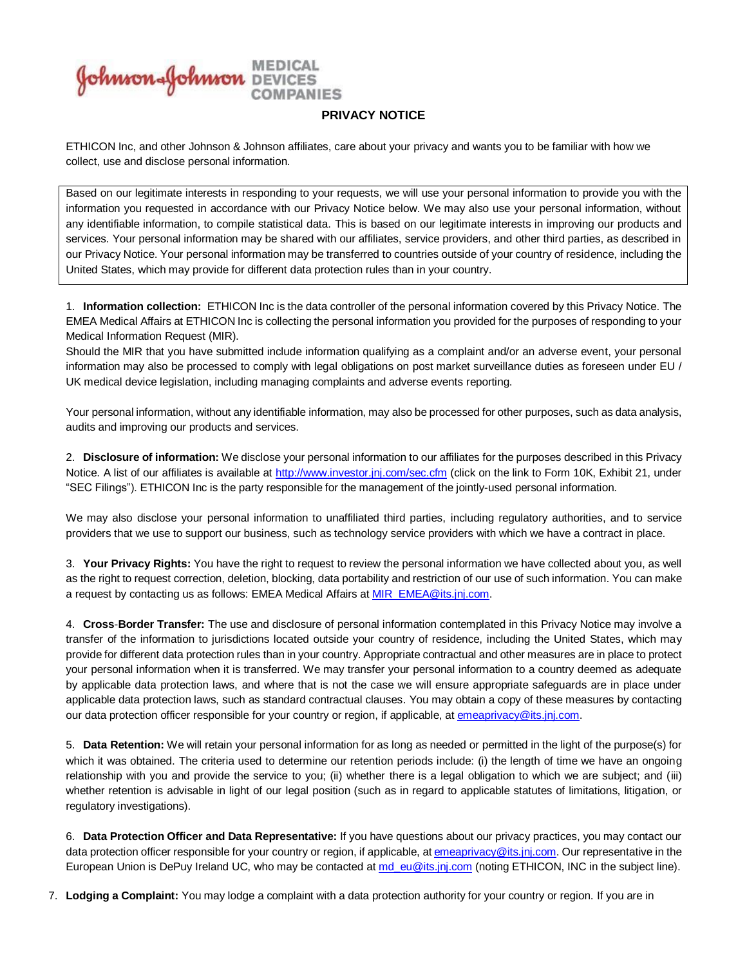**Johnson Solution** MEDICAL

## **PRIVACY NOTICE**

ETHICON Inc, and other Johnson & Johnson affiliates, care about your privacy and wants you to be familiar with how we collect, use and disclose personal information.

Based on our legitimate interests in responding to your requests, we will use your personal information to provide you with the information you requested in accordance with our Privacy Notice below. We may also use your personal information, without any identifiable information, to compile statistical data. This is based on our legitimate interests in improving our products and services. Your personal information may be shared with our affiliates, service providers, and other third parties, as described in our Privacy Notice. Your personal information may be transferred to countries outside of your country of residence, including the United States, which may provide for different data protection rules than in your country.

1. **Information collection:** ETHICON Inc is the data controller of the personal information covered by this Privacy Notice. The EMEA Medical Affairs at ETHICON Inc is collecting the personal information you provided for the purposes of responding to your Medical Information Request (MIR).

Should the MIR that you have submitted include information qualifying as a complaint and/or an adverse event, your personal information may also be processed to comply with legal obligations on post market surveillance duties as foreseen under EU / UK medical device legislation, including managing complaints and adverse events reporting.

Your personal information, without any identifiable information, may also be processed for other purposes, such as data analysis, audits and improving our products and services.

2. **Disclosure of information:** We disclose your personal information to our affiliates for the purposes described in this Privacy Notice. A list of our affiliates is available at <http://www.investor.jnj.com/sec.cfm> (click on the link to Form 10K, Exhibit 21, under "SEC Filings"). ETHICON Inc is the party responsible for the management of the jointly-used personal information.

We may also disclose your personal information to unaffiliated third parties, including regulatory authorities, and to service providers that we use to support our business, such as technology service providers with which we have a contract in place.

3. **Your Privacy Rights:** You have the right to request to review the personal information we have collected about you, as well as the right to request correction, deletion, blocking, data portability and restriction of our use of such information. You can make a request by contacting us as follows: EMEA Medical Affairs at [MIR\\_EMEA@its.jnj.com.](mailto:MIR_EMEA@its.jnj.com)

4. **Cross**-**Border Transfer:** The use and disclosure of personal information contemplated in this Privacy Notice may involve a transfer of the information to jurisdictions located outside your country of residence, including the United States, which may provide for different data protection rules than in your country. Appropriate contractual and other measures are in place to protect your personal information when it is transferred. We may transfer your personal information to a country deemed as adequate by applicable data protection laws, and where that is not the case we will ensure appropriate safeguards are in place under applicable data protection laws, such as standard contractual clauses. You may obtain a copy of these measures by contacting our data protection officer responsible for your country or region, if applicable, at [emeaprivacy@its.jnj.com.](mailto:emeaprivacy@its.jnj.com)

5. **Data Retention:** We will retain your personal information for as long as needed or permitted in the light of the purpose(s) for which it was obtained. The criteria used to determine our retention periods include: (i) the length of time we have an ongoing relationship with you and provide the service to you; (ii) whether there is a legal obligation to which we are subject; and (iii) whether retention is advisable in light of our legal position (such as in regard to applicable statutes of limitations, litigation, or regulatory investigations).

6. **Data Protection Officer and Data Representative:** If you have questions about our privacy practices, you may contact our data protection officer responsible for your country or region, if applicable, at [emeaprivacy@its.jnj.com.](mailto:emeaprivacy@its.jnj.com) Our representative in the European Union is DePuy Ireland UC, who may be contacted at [md\\_eu@its.jnj.com](mailto:md_eu@its.jnj.com) (noting ETHICON, INC in the subject line).

7. **Lodging a Complaint:** You may lodge a complaint with a data protection authority for your country or region. If you are in